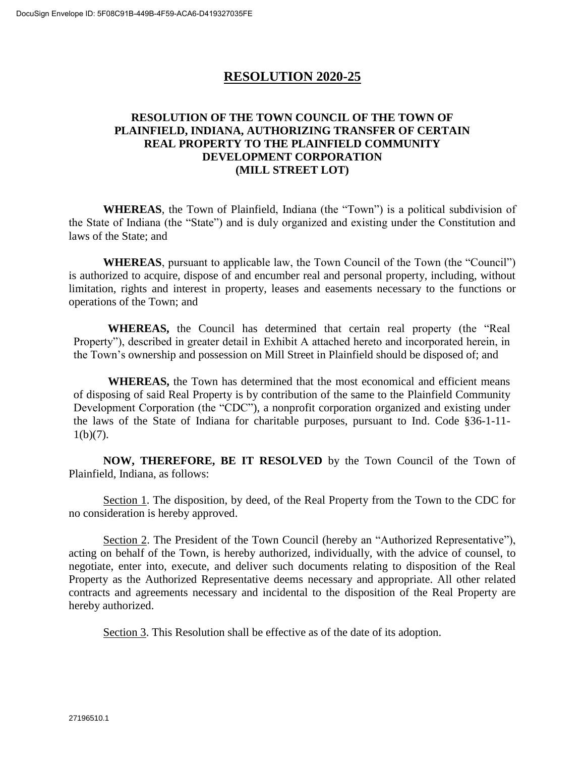## **RESOLUTION 2020-25**

## **RESOLUTION OF THE TOWN COUNCIL OF THE TOWN OF PLAINFIELD, INDIANA, AUTHORIZING TRANSFER OF CERTAIN REAL PROPERTY TO THE PLAINFIELD COMMUNITY DEVELOPMENT CORPORATION (MILL STREET LOT)**

**WHEREAS**, the Town of Plainfield, Indiana (the "Town") is a political subdivision of the State of Indiana (the "State") and is duly organized and existing under the Constitution and laws of the State; and

**WHEREAS**, pursuant to applicable law, the Town Council of the Town (the "Council") is authorized to acquire, dispose of and encumber real and personal property, including, without limitation, rights and interest in property, leases and easements necessary to the functions or operations of the Town; and

**WHEREAS,** the Council has determined that certain real property (the "Real Property"), described in greater detail in Exhibit A attached hereto and incorporated herein, in the Town's ownership and possession on Mill Street in Plainfield should be disposed of; and

**WHEREAS,** the Town has determined that the most economical and efficient means of disposing of said Real Property is by contribution of the same to the Plainfield Community Development Corporation (the "CDC"), a nonprofit corporation organized and existing under the laws of the State of Indiana for charitable purposes, pursuant to Ind. Code §36-1-11-  $1(b)(7)$ .

**NOW, THEREFORE, BE IT RESOLVED** by the Town Council of the Town of Plainfield, Indiana, as follows:

Section 1. The disposition, by deed, of the Real Property from the Town to the CDC for no consideration is hereby approved.

Section 2. The President of the Town Council (hereby an "Authorized Representative"), acting on behalf of the Town, is hereby authorized, individually, with the advice of counsel, to negotiate, enter into, execute, and deliver such documents relating to disposition of the Real Property as the Authorized Representative deems necessary and appropriate. All other related contracts and agreements necessary and incidental to the disposition of the Real Property are hereby authorized.

Section 3. This Resolution shall be effective as of the date of its adoption.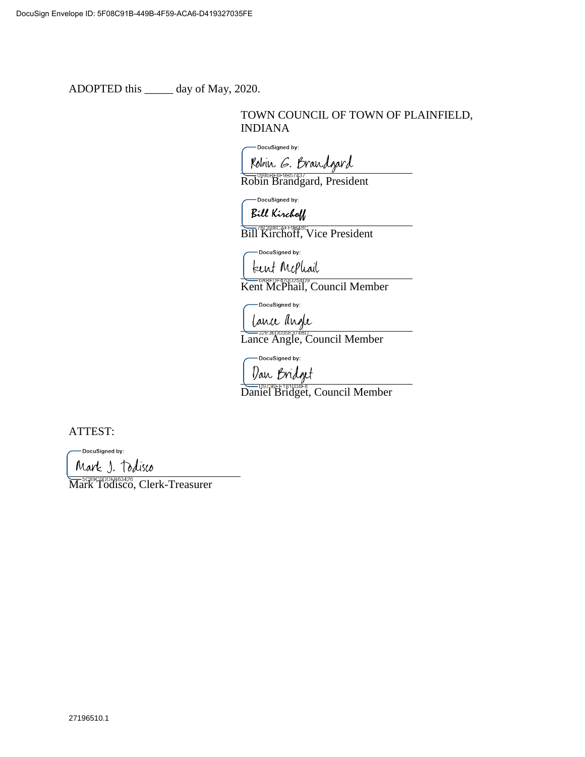ADOPTED this \_\_\_\_\_ day of May, 2020.

## TOWN COUNCIL OF TOWN OF PLAINFIELD, INDIANA

-DocuSigned by:

Robin G. Brandgard

Robin Brandgard, President

-DocuSigned by:  $R: U \times_{\mathbb{Z}} C$ 

Bill Kirchoff, Vice President

-DocuSigned by:

tent Mephail

Kent McPhail, Council Member

-DocuSigned by:

Lance angle

Lance Angle, Council Member

- DocuSigned by:

Dan Bridget

Daniel Bridget, Council Member

ATTEST:

DocuSigned by:

Mark J. Todisco

**Mark Todisco, Clerk-Treasurer**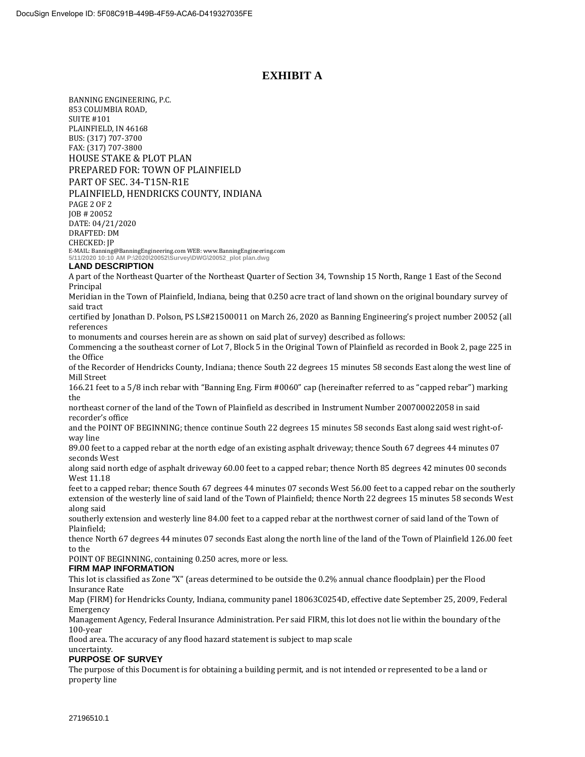### **EXHIBIT A**

BANNING ENGINEERING, P.C. 853 COLUMBIA ROAD, SUITE #101 PLAINFIELD, IN 46168 BUS: (317) 707-3700 FAX: (317) 707-3800 HOUSE STAKE & PLOT PLAN PREPARED FOR: TOWN OF PLAINFIELD PART OF SEC. 34-T15N-R1E PLAINFIELD, HENDRICKS COUNTY, INDIANA PAGE 2 OF 2 JOB # 20052 DATE: 04/21/2020 DRAFTED: DM CHECKED: JP E-MAIL: Banning@BanningEngineering.com WEB: www.BanningEngineering.com **5/11/2020 10:10 AM P:\2020\20052\Survey\DWG\20052\_plot plan.dwg**

#### **LAND DESCRIPTION**

A part of the Northeast Quarter of the Northeast Quarter of Section 34, Township 15 North, Range 1 East of the Second Principal

Meridian in the Town of Plainfield, Indiana, being that 0.250 acre tract of land shown on the original boundary survey of said tract

certified by Jonathan D. Polson, PS LS#21500011 on March 26, 2020 as Banning Engineering's project number 20052 (all references

to monuments and courses herein are as shown on said plat of survey) described as follows:

Commencing a the southeast corner of Lot 7, Block 5 in the Original Town of Plainfield as recorded in Book 2, page 225 in the Office

of the Recorder of Hendricks County, Indiana; thence South 22 degrees 15 minutes 58 seconds East along the west line of Mill Street

166.21 feet to a 5/8 inch rebar with "Banning Eng. Firm #0060" cap (hereinafter referred to as "capped rebar") marking the

northeast corner of the land of the Town of Plainfield as described in Instrument Number 200700022058 in said recorder's office

and the POINT OF BEGINNING; thence continue South 22 degrees 15 minutes 58 seconds East along said west right-ofway line

89.00 feet to a capped rebar at the north edge of an existing asphalt driveway; thence South 67 degrees 44 minutes 07 seconds West

along said north edge of asphalt driveway 60.00 feet to a capped rebar; thence North 85 degrees 42 minutes 00 seconds West 11.18

feet to a capped rebar; thence South 67 degrees 44 minutes 07 seconds West 56.00 feet to a capped rebar on the southerly extension of the westerly line of said land of the Town of Plainfield; thence North 22 degrees 15 minutes 58 seconds West along said

southerly extension and westerly line 84.00 feet to a capped rebar at the northwest corner of said land of the Town of Plainfield;

thence North 67 degrees 44 minutes 07 seconds East along the north line of the land of the Town of Plainfield 126.00 feet to the

POINT OF BEGINNING, containing 0.250 acres, more or less.

#### **FIRM MAP INFORMATION**

This lot is classified as Zone "X" (areas determined to be outside the 0.2% annual chance floodplain) per the Flood Insurance Rate

Map (FIRM) for Hendricks County, Indiana, community panel 18063C0254D, effective date September 25, 2009, Federal Emergency

Management Agency, Federal Insurance Administration. Per said FIRM, this lot does not lie within the boundary of the 100-year

flood area. The accuracy of any flood hazard statement is subject to map scale uncertainty.

#### **PURPOSE OF SURVEY**

The purpose of this Document is for obtaining a building permit, and is not intended or represented to be a land or property line